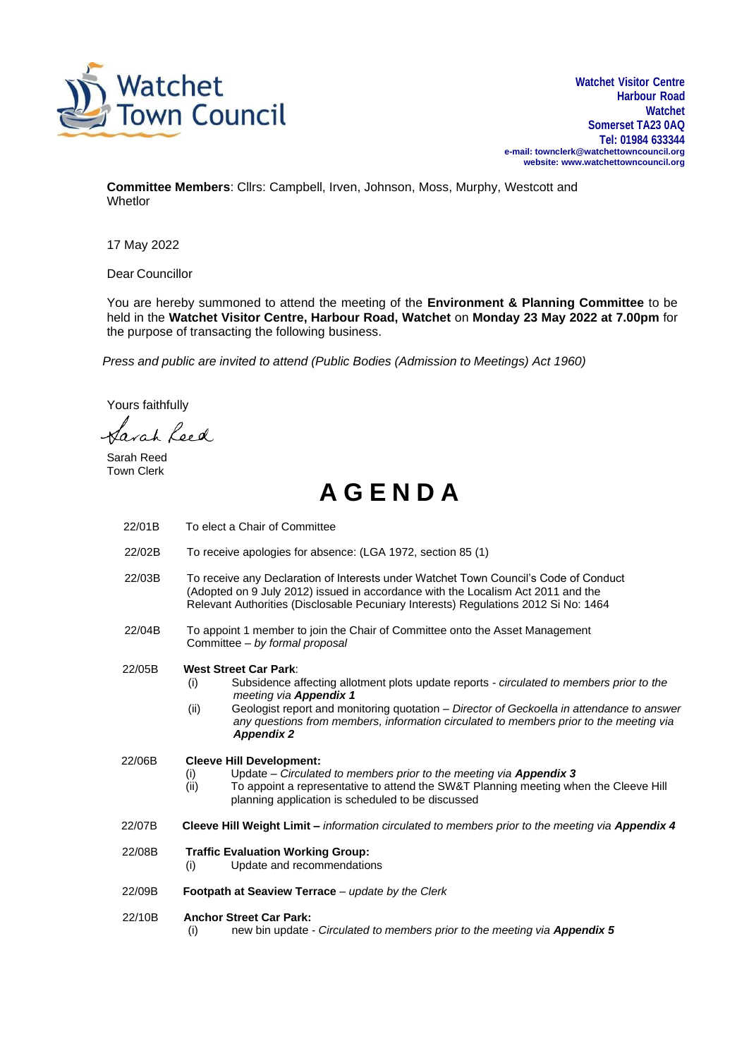

**Watchet Visitor Centre Harbour Road Watchet Somerset TA23 0AQ Tel: 01984 633344 e-mail[: townclerk@watchettowncouncil.org](mailto:townclerk@watchettowncouncil.org) website: [www.watchettowncouncil.org](http://www.watchettowncouncil.org/)**

**Committee Members**: Cllrs: Campbell, Irven, Johnson, Moss, Murphy, Westcott and **Whetlor** 

17 May 2022

Dear Councillor

You are hereby summoned to attend the meeting of the **Environment & Planning Committee** to be held in the **Watchet Visitor Centre, Harbour Road, Watchet** on **Monday 23 May 2022 at 7.00pm** for the purpose of transacting the following business.

*Press and public are invited to attend (Public Bodies (Admission to Meetings) Act 1960)*

Yours faithfully

Sarah Leed

Sarah Reed Town Clerk

## **A G E N D A**

| 22/01B | To elect a Chair of Committee                                                                                                                                                                                                                                                                                                                                                 |
|--------|-------------------------------------------------------------------------------------------------------------------------------------------------------------------------------------------------------------------------------------------------------------------------------------------------------------------------------------------------------------------------------|
| 22/02B | To receive apologies for absence: (LGA 1972, section 85 (1)                                                                                                                                                                                                                                                                                                                   |
| 22/03B | To receive any Declaration of Interests under Watchet Town Council's Code of Conduct<br>(Adopted on 9 July 2012) issued in accordance with the Localism Act 2011 and the<br>Relevant Authorities (Disclosable Pecuniary Interests) Regulations 2012 Si No: 1464                                                                                                               |
| 22/04B | To appoint 1 member to join the Chair of Committee onto the Asset Management<br>Committee - by formal proposal                                                                                                                                                                                                                                                                |
| 22/05B | <b>West Street Car Park:</b><br>Subsidence affecting allotment plots update reports - circulated to members prior to the<br>(i)<br>meeting via Appendix 1<br>Geologist report and monitoring quotation - Director of Geckoella in attendance to answer<br>(ii)<br>any questions from members, information circulated to members prior to the meeting via<br><b>Appendix 2</b> |
| 22/06B | <b>Cleeve Hill Development:</b><br>Update - Circulated to members prior to the meeting via Appendix 3<br>(i)<br>To appoint a representative to attend the SW&T Planning meeting when the Cleeve Hill<br>(ii)<br>planning application is scheduled to be discussed                                                                                                             |
| 22/07B | Cleeve Hill Weight Limit – information circulated to members prior to the meeting via Appendix 4                                                                                                                                                                                                                                                                              |
| 22/08B | <b>Traffic Evaluation Working Group:</b><br>Update and recommendations<br>(i)                                                                                                                                                                                                                                                                                                 |
| 22/09B | Footpath at Seaview Terrace $-$ update by the Clerk                                                                                                                                                                                                                                                                                                                           |
| 22/10B | <b>Anchor Street Car Park:</b><br>new bin update - Circulated to members prior to the meeting via Appendix 5<br>(i)                                                                                                                                                                                                                                                           |
|        |                                                                                                                                                                                                                                                                                                                                                                               |